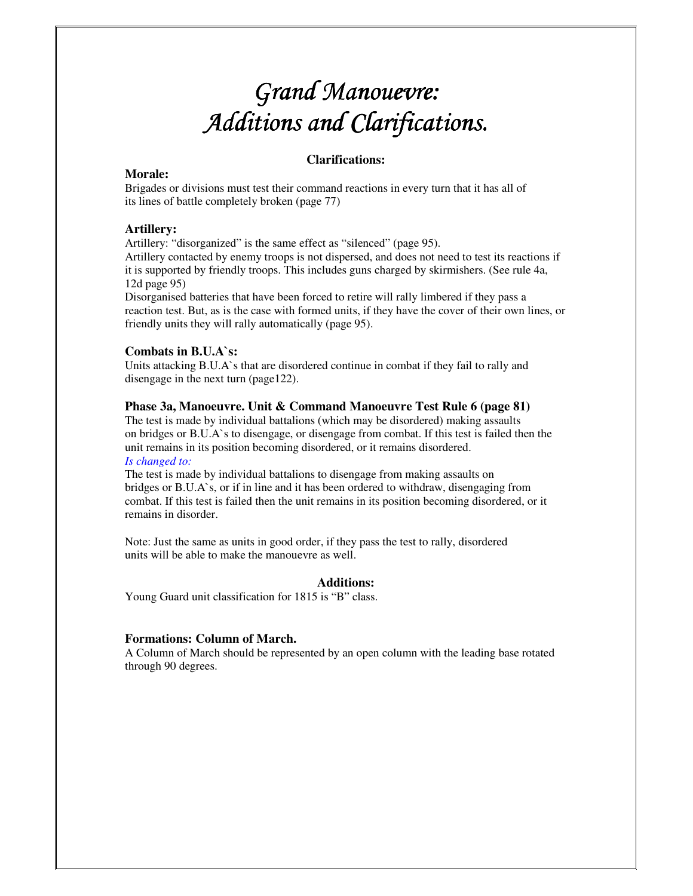# *Grand Manouevre: Grand Manouevre:*  Additions and Clarifications.

# **Clarifications:**

# **Morale:**

Brigades or divisions must test their command reactions in every turn that it has all of its lines of battle completely broken (page 77)

# **Artillery:**

Artillery: "disorganized" is the same effect as "silenced" (page 95).

Artillery contacted by enemy troops is not dispersed, and does not need to test its reactions if it is supported by friendly troops. This includes guns charged by skirmishers. (See rule 4a, 12d page 95)

Disorganised batteries that have been forced to retire will rally limbered if they pass a reaction test. But, as is the case with formed units, if they have the cover of their own lines, or friendly units they will rally automatically (page 95).

# **Combats in B.U.A`s:**

Units attacking B.U.A`s that are disordered continue in combat if they fail to rally and disengage in the next turn (page122).

## **Phase 3a, Manoeuvre. Unit & Command Manoeuvre Test Rule 6 (page 81)**

The test is made by individual battalions (which may be disordered) making assaults on bridges or B.U.A`s to disengage, or disengage from combat. If this test is failed then the unit remains in its position becoming disordered, or it remains disordered. *Is changed to:* 

The test is made by individual battalions to disengage from making assaults on bridges or B.U.A`s, or if in line and it has been ordered to withdraw, disengaging from combat. If this test is failed then the unit remains in its position becoming disordered, or it remains in disorder.

Note: Just the same as units in good order, if they pass the test to rally, disordered units will be able to make the manouevre as well.

## **Additions:**

Young Guard unit classification for 1815 is "B" class.

## **Formations: Column of March.**

A Column of March should be represented by an open column with the leading base rotated through 90 degrees.